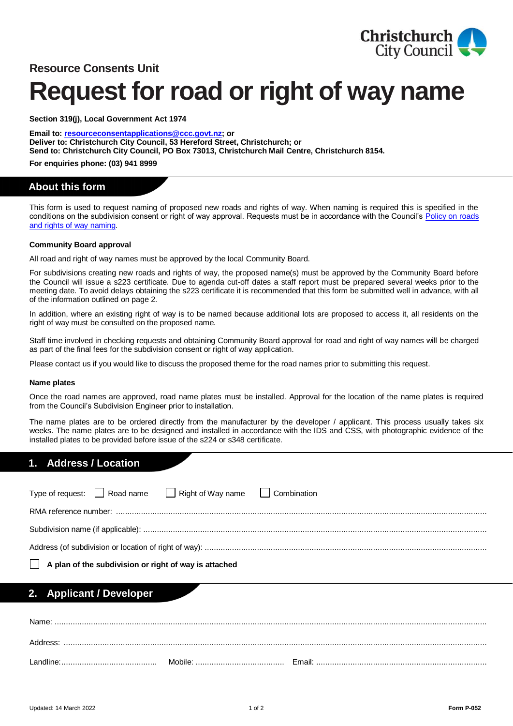

# **Resource Consents Unit**

# **Request for road or right of way name**

**Section 319(j), Local Government Act 1974**

**Email to[: resourceconsentapplications@ccc.govt.nz;](mailto:resourceconsentapplications@ccc.govt.nz) or Deliver to: Christchurch City Council, 53 Hereford Street, Christchurch; or Send to: Christchurch City Council, PO Box 73013, Christchurch Mail Centre, Christchurch 8154.**

**For enquiries phone: (03) 941 8999**

# **About this form**

This form is used to request naming of proposed new roads and rights of way. When naming is required this is specified in the conditions on the subdivision consent or right of way approval. Requests must be in accordance with the Council's [Policy on roads](https://ccc.govt.nz/the-council/plans-strategies-policies-and-bylaws/policies/streets-roads-and-pavements-policies/roads-and-rights-of-way-naming/) [and rights of way naming.](https://ccc.govt.nz/the-council/plans-strategies-policies-and-bylaws/policies/streets-roads-and-pavements-policies/roads-and-rights-of-way-naming/)

## **Community Board approval**

All road and right of way names must be approved by the local Community Board.

For subdivisions creating new roads and rights of way, the proposed name(s) must be approved by the Community Board before the Council will issue a s223 certificate. Due to agenda cut-off dates a staff report must be prepared several weeks prior to the meeting date. To avoid delays obtaining the s223 certificate it is recommended that this form be submitted well in advance, with all of the information outlined on page 2.

In addition, where an existing right of way is to be named because additional lots are proposed to access it, all residents on the right of way must be consulted on the proposed name.

Staff time involved in checking requests and obtaining Community Board approval for road and right of way names will be charged as part of the final fees for the subdivision consent or right of way application.

Please contact us if you would like to discuss the proposed theme for the road names prior to submitting this request.

#### **Name plates**

Once the road names are approved, road name plates must be installed. Approval for the location of the name plates is required from the Council's Subdivision Engineer prior to installation.

The name plates are to be ordered directly from the manufacturer by the developer / applicant. This process usually takes six weeks. The name plates are to be designed and installed in accordance with the IDS and CSS, with photographic evidence of the installed plates to be provided before issue of the s224 or s348 certificate.

# **1. Address / Location**

|                                                              |  | Type of request: $\Box$ Road name $\Box$ Right of Way name $\Box$ Combination |  |  |  |
|--------------------------------------------------------------|--|-------------------------------------------------------------------------------|--|--|--|
|                                                              |  |                                                                               |  |  |  |
|                                                              |  |                                                                               |  |  |  |
|                                                              |  |                                                                               |  |  |  |
| $\Box$ A plan of the subdivision or right of way is attached |  |                                                                               |  |  |  |

## **2. Applicant / Developer**

| Name:                |         |        |
|----------------------|---------|--------|
| Address:             |         |        |
| andline <sup>.</sup> | Mobile: | Email: |